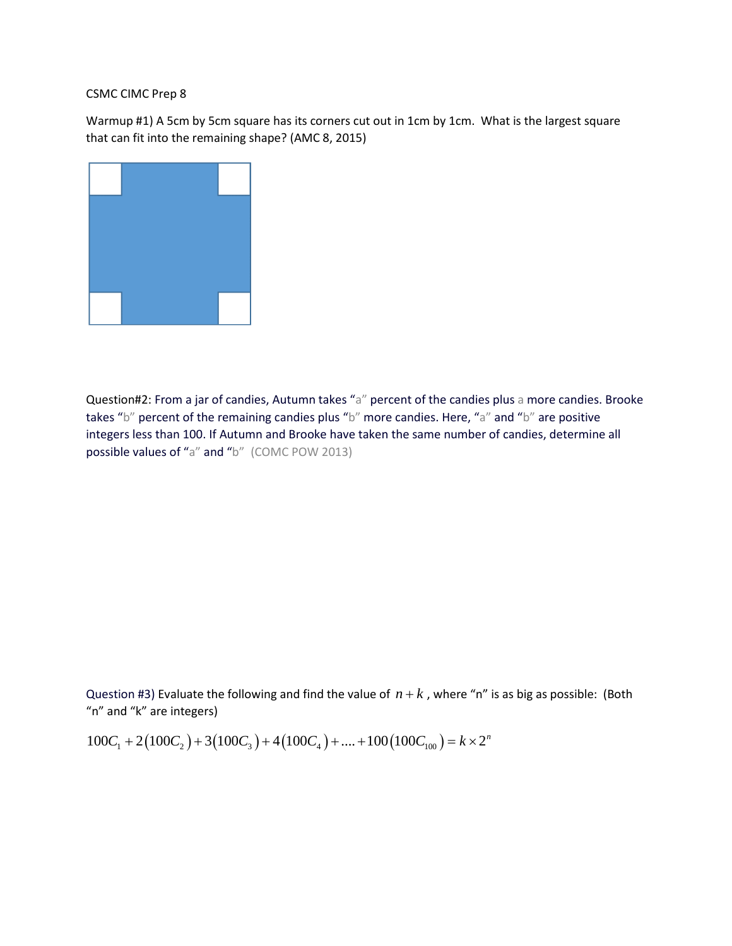## CSMC CIMC Prep 8

Warmup #1) A 5cm by 5cm square has its corners cut out in 1cm by 1cm. What is the largest square that can fit into the remaining shape? (AMC 8, 2015)



Question#2: From a jar of candies, Autumn takes "a" percent of the candies plus a more candies. Brooke takes "b" percent of the remaining candies plus "b" more candies. Here, "a" and "b" are positive integers less than 100. If Autumn and Brooke have taken the same number of candies, determine all possible values of "a" and "b" (COMC POW 2013)

Question #3) Evaluate the following and find the value of  $n + k$ , where "n" is as big as possible: (Both "n" and "k" are integers)<br>"n" and "k" are integers)<br> $100C_1 + 2(100C_2) + 3(100C_3) + 4(100C_4) + .... + 100(100C_{100}) = k \times 2^n$ "n" and "k" are integers)

$$
100C_1 + 2(100C_2) + 3(100C_3) + 4(100C_4) + \dots + 100(100C_{100}) = k \times 2^n
$$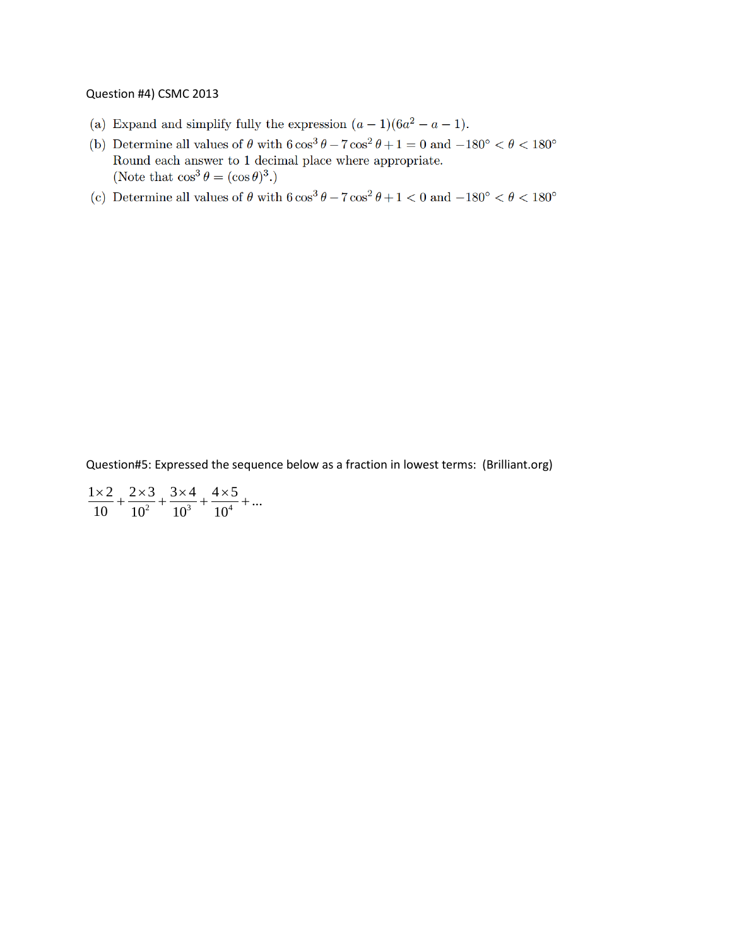## Question #4) CSMC 2013

- (a) Expand and simplify fully the expression  $(a-1)(6a^2-a-1)$ .
- (b) Determine all values of  $\theta$  with  $6\cos^3\theta 7\cos^2\theta + 1 = 0$  and  $-180^\circ < \theta < 180^\circ$ Round each answer to  $1$  decimal place where appropriate. (Note that  $\cos^3 \theta = (\cos \theta)^3$ .)
- (c) Determine all values of  $\theta$  with  $6 \cos^3 \theta 7 \cos^2 \theta + 1 < 0$  and  $-180^\circ < \theta < 180^\circ$

Question#5: Expressed the sequence below as a fraction in lowest terms: (Brilliant.org)

 $\frac{1}{2} + \frac{1}{10^3} + \frac{1}{10^4}$  $\frac{1 \times 2}{10} + \frac{2 \times 3}{10^2} + \frac{3 \times 4}{10^3} + \frac{4 \times 5}{10^4} + \dots$  $\frac{x}{10} + \frac{2x3}{10^2} + \frac{3x4}{10^3} + \frac{4x5}{10^4} + ...$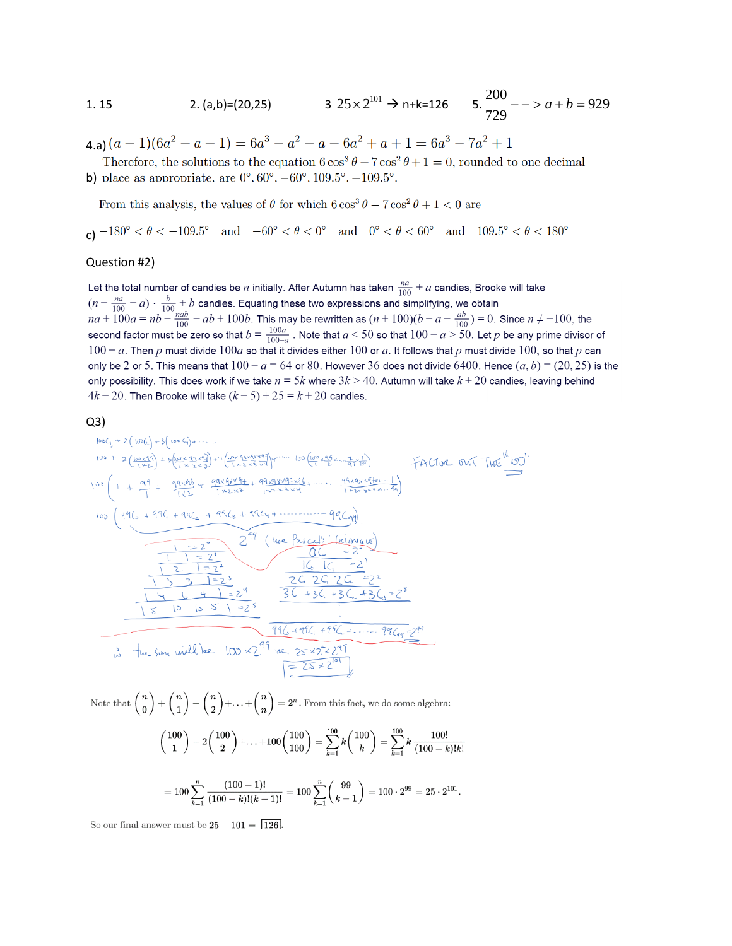1. 15  
2. (a,b)=(20,25) 
$$
3\ 25 \times 2^{101} \rightarrow n+k=126
$$
  $5.\frac{200}{729} - \gt a + b = 929$ 

4 a)  $(a-1)(6a^2 - a - 1) = 6a^3 - a^2 - a - 6a^2 + a + 1 = 6a^3 - 7a^2 + 1$ 

Therefore, the solutions to the equation  $6\cos^3\theta - 7\cos^2\theta + 1 = 0$ , rounded to one decimal b) place as appropriate, are  $0^{\circ}$ ,  $60^{\circ}$ ,  $-60^{\circ}$ ,  $109.5^{\circ}$ ,  $-109.5^{\circ}$ .

From this analysis, the values of  $\theta$  for which  $6\cos^3\theta - 7\cos^2\theta + 1 < 0$  are

c)  $-180^{\circ} < \theta < -109.5^{\circ}$  and  $-60^{\circ} < \theta < 0^{\circ}$  and  $0^{\circ} < \theta < 60^{\circ}$  and  $109.5^{\circ} < \theta < 180^{\circ}$ 

## Question #2)

Let the total number of candies be *n* initially. After Autumn has taken  $\frac{na}{100} + a$  candies, Brooke will take  $(n - \frac{na}{100} - a) \cdot \frac{b}{100} + b$  candides. Equating these two expressions and simplifying, we obtain<br>  $na + 100a = nb - \frac{na}{100} - ab + 100b$ . This may be rewritten as  $(n + 100)(b - a - \frac{ab}{100}) = 0$ . Since  $n \neq -100$ , the<br>
second factor mu  $100 - a$ . Then p must divide  $100a$  so that it divides either 100 or a. It follows that p must divide 100, so that p can only be 2 or 5. This means that  $100 - a = 64$  or 80. However 36 does not divide 6400. Hence  $(a, b) = (20, 25)$  is the only possibility. This does work if we take  $n = 5k$  where  $3k > 40$ . Autumn will take  $k + 20$  candies, leaving behind  $4k - 20$ . Then Brooke will take  $(k - 5) + 25 = k + 20$  candies.

 $Q3)$ 

$$
\frac{1056(1+2(1096)+3(1096)+\cdots}{109+2(\frac{180265}{16225})+3(\frac{10965+16045}{162525})+4(\frac{10965+16045}{162525})+ \cdots} +60(\frac{10965+16}{1525} - \frac{1}{914})
$$
\n
$$
\frac{109}{1+2(\frac{1012}{1625})} + \frac{99406}{162525})+4(\frac{10964}{1625} - \frac{10101}{1625} - \frac{10101}{1625} - \frac{10101}{1625} - \frac{10101}{1625})
$$
\n
$$
\frac{109}{1+2} + \frac{99406}{162} + \frac{994064}{1625} + \frac{99404}{1625} + \frac{99404}{1625} - \frac{10101}{1625} - \frac{994}{1625} - \frac{1}{161})
$$
\n
$$
\frac{1}{100} + \frac{1}{100} + \frac{1}{100} + \frac{99406}{162} + \frac{9946}{1625} + \frac{99404}{1625} - \frac{994}{1625} - \frac{1}{161})
$$
\n
$$
\frac{1}{100} - \frac{1}{100} - \frac{1}{100} - \frac{1}{100} - \frac{1}{100} - \frac{1}{100} - \frac{1}{100} - \frac{1}{100} - \frac{1}{100} - \frac{1}{100} - \frac{1}{100} - \frac{1}{100} - \frac{1}{100} - \frac{1}{100} - \frac{1}{100} - \frac{1}{100} - \frac{1}{100} - \frac{1}{100} - \frac{1}{100} - \frac{1}{100} - \frac{1}{100} - \frac{1}{100} - \frac{1}{100} - \frac{1}{100} - \frac{1}{100} - \frac{1}{100} - \frac{1}{100} - \
$$

Note that  $\binom{n}{0} + \binom{n}{1} + \binom{n}{2} + \ldots + \binom{n}{n} = 2^n$ . From this fact, we do some algebra:  $\binom{100}{1} + 2\binom{100}{2} + \ldots + 100\binom{100}{100} = \sum_{k=1}^{100} k \binom{100}{k} = \sum_{k=1}^{100} k \frac{100!}{(100-k)!k!}$ 

$$
=100\sum_{k=1}^n\frac{(100-1)!}{(100-k)!(k-1)!}=100\sum_{k=1}^n\binom{99}{k-1}=100\cdot2^{99}=25\cdot2^{101}.
$$

So our final answer must be  $25 + 101 = \boxed{126}$ .